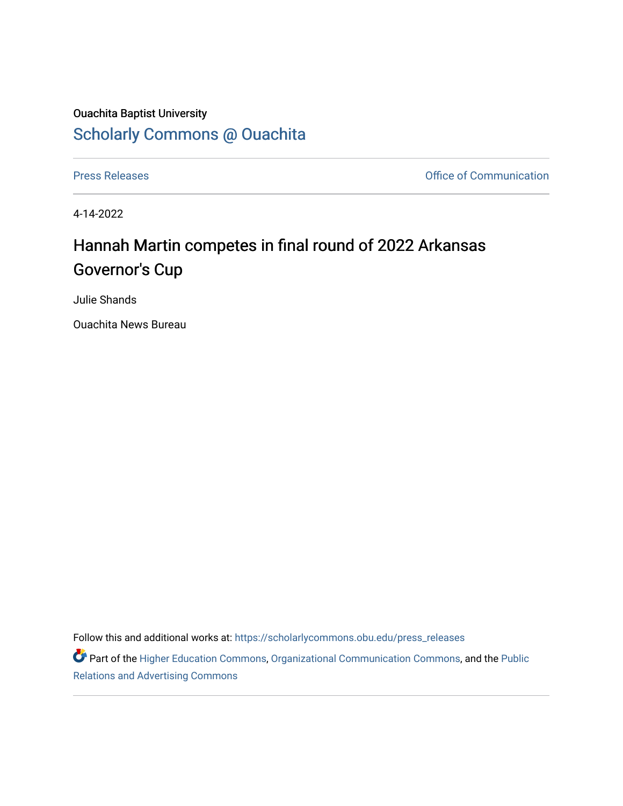## Ouachita Baptist University [Scholarly Commons @ Ouachita](https://scholarlycommons.obu.edu/)

[Press Releases](https://scholarlycommons.obu.edu/press_releases) **Press Releases Communication** 

4-14-2022

## Hannah Martin competes in final round of 2022 Arkansas Governor's Cup

Julie Shands

Ouachita News Bureau

Follow this and additional works at: [https://scholarlycommons.obu.edu/press\\_releases](https://scholarlycommons.obu.edu/press_releases?utm_source=scholarlycommons.obu.edu%2Fpress_releases%2F1084&utm_medium=PDF&utm_campaign=PDFCoverPages)

Part of the [Higher Education Commons,](http://network.bepress.com/hgg/discipline/1245?utm_source=scholarlycommons.obu.edu%2Fpress_releases%2F1084&utm_medium=PDF&utm_campaign=PDFCoverPages) [Organizational Communication Commons,](http://network.bepress.com/hgg/discipline/335?utm_source=scholarlycommons.obu.edu%2Fpress_releases%2F1084&utm_medium=PDF&utm_campaign=PDFCoverPages) and the [Public](http://network.bepress.com/hgg/discipline/336?utm_source=scholarlycommons.obu.edu%2Fpress_releases%2F1084&utm_medium=PDF&utm_campaign=PDFCoverPages) [Relations and Advertising Commons](http://network.bepress.com/hgg/discipline/336?utm_source=scholarlycommons.obu.edu%2Fpress_releases%2F1084&utm_medium=PDF&utm_campaign=PDFCoverPages)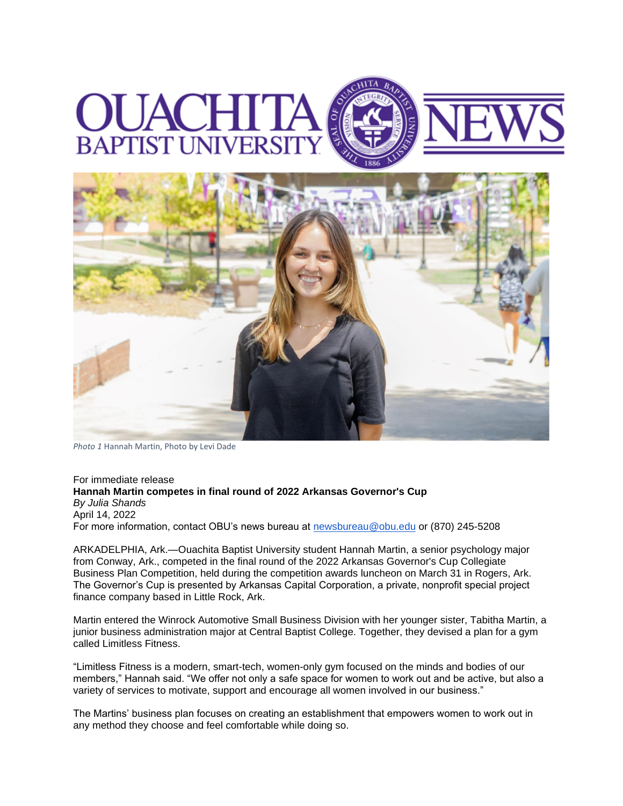



*Photo 1* Hannah Martin, Photo by Levi Dade

For immediate release **Hannah Martin competes in final round of 2022 Arkansas Governor's Cup** *By Julia Shands* April 14, 2022 For more information, contact OBU's news bureau at [newsbureau@obu.edu](mailto:newsbureau@obu.edu) or (870) 245-5208

ARKADELPHIA, Ark.—Ouachita Baptist University student Hannah Martin, a senior psychology major from Conway, Ark., competed in the final round of the 2022 Arkansas Governor's Cup Collegiate Business Plan Competition, held during the competition awards luncheon on March 31 in Rogers, Ark. The Governor's Cup is presented by Arkansas Capital Corporation, a private, nonprofit special project finance company based in Little Rock, Ark.

Martin entered the Winrock Automotive Small Business Division with her younger sister, Tabitha Martin, a junior business administration major at Central Baptist College. Together, they devised a plan for a gym called Limitless Fitness.

"Limitless Fitness is a modern, smart-tech, women-only gym focused on the minds and bodies of our members," Hannah said. "We offer not only a safe space for women to work out and be active, but also a variety of services to motivate, support and encourage all women involved in our business."

The Martins' business plan focuses on creating an establishment that empowers women to work out in any method they choose and feel comfortable while doing so.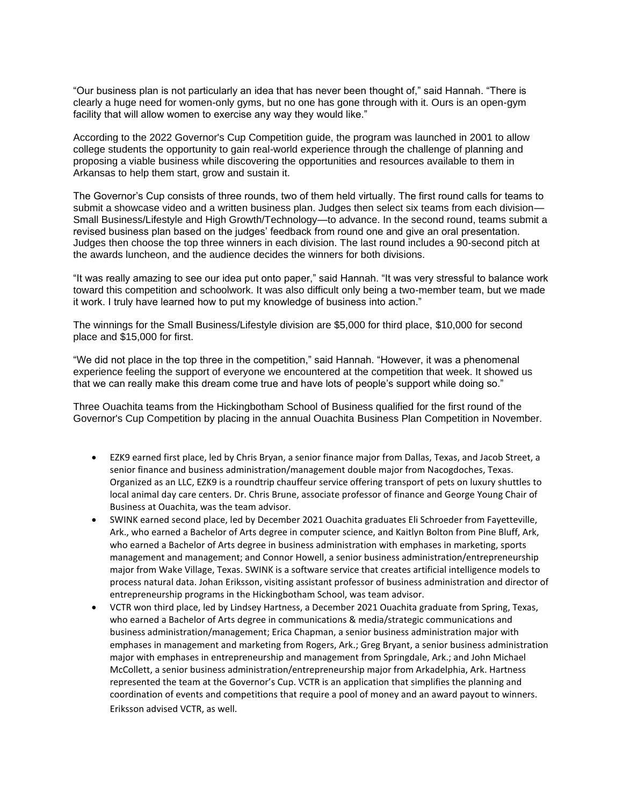"Our business plan is not particularly an idea that has never been thought of," said Hannah. "There is clearly a huge need for women-only gyms, but no one has gone through with it. Ours is an open-gym facility that will allow women to exercise any way they would like."

According to the 2022 Governor's Cup Competition guide, the program was launched in 2001 to allow college students the opportunity to gain real-world experience through the challenge of planning and proposing a viable business while discovering the opportunities and resources available to them in Arkansas to help them start, grow and sustain it.

The Governor's Cup consists of three rounds, two of them held virtually. The first round calls for teams to submit a showcase video and a written business plan. Judges then select six teams from each division— Small Business/Lifestyle and High Growth/Technology—to advance. In the second round, teams submit a revised business plan based on the judges' feedback from round one and give an oral presentation. Judges then choose the top three winners in each division. The last round includes a 90-second pitch at the awards luncheon, and the audience decides the winners for both divisions.

"It was really amazing to see our idea put onto paper," said Hannah. "It was very stressful to balance work toward this competition and schoolwork. It was also difficult only being a two-member team, but we made it work. I truly have learned how to put my knowledge of business into action."

The winnings for the Small Business/Lifestyle division are \$5,000 for third place, \$10,000 for second place and \$15,000 for first.

"We did not place in the top three in the competition," said Hannah. "However, it was a phenomenal experience feeling the support of everyone we encountered at the competition that week. It showed us that we can really make this dream come true and have lots of people's support while doing so."

Three Ouachita teams from the Hickingbotham School of Business qualified for the first round of the Governor's Cup Competition by placing in the annual Ouachita Business Plan Competition in November.

- EZK9 earned first place, led by Chris Bryan, a senior finance major from Dallas, Texas, and Jacob Street, a senior finance and business administration/management double major from Nacogdoches, Texas. Organized as an LLC, EZK9 is a roundtrip chauffeur service offering transport of pets on luxury shuttles to local animal day care centers. Dr. Chris Brune, associate professor of finance and George Young Chair of Business at Ouachita, was the team advisor.
- SWINK earned second place, led by December 2021 Ouachita graduates Eli Schroeder from Fayetteville, Ark., who earned a Bachelor of Arts degree in computer science, and Kaitlyn Bolton from Pine Bluff, Ark, who earned a Bachelor of Arts degree in business administration with emphases in marketing, sports management and management; and Connor Howell, a senior business administration/entrepreneurship major from Wake Village, Texas. SWINK is a software service that creates artificial intelligence models to process natural data. Johan Eriksson, visiting assistant professor of business administration and director of entrepreneurship programs in the Hickingbotham School, was team advisor.
- VCTR won third place, led by Lindsey Hartness, a December 2021 Ouachita graduate from Spring, Texas, who earned a Bachelor of Arts degree in communications & media/strategic communications and business administration/management; Erica Chapman, a senior business administration major with emphases in management and marketing from Rogers, Ark.; Greg Bryant, a senior business administration major with emphases in entrepreneurship and management from Springdale, Ark.; and John Michael McCollett, a senior business administration/entrepreneurship major from Arkadelphia, Ark. Hartness represented the team at the Governor's Cup. VCTR is an application that simplifies the planning and coordination of events and competitions that require a pool of money and an award payout to winners. Eriksson advised VCTR, as well.